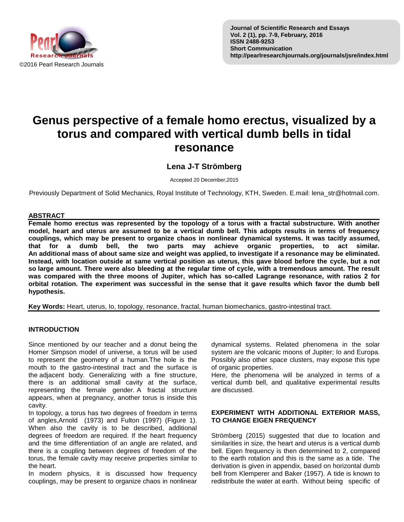

# **Genus perspective of a female homo erectus, visualized by a torus and compared with vertical dumb bells in tidal resonance**

# **Lena J-T Strömberg**

Accepted 20 December,2015

Previously Department of Solid Mechanics, Royal Institute of Technology, KTH, Sweden. E.mail: lena\_str@hotmail.com.

# **ABSTRACT**

**Female homo erectus was represented by the topology of a torus with a fractal substructure. With another model, heart and uterus are assumed to be a vertical dumb bell. This adopts results in terms of frequency couplings, which may be present to organize chaos in nonlinear dynamical systems. It was tacitly assumed, that for a dumb bell, the two parts may achieve organic properties, to act similar. An additional mass of about same size and weight was applied, to investigate if a resonance may be eliminated. Instead, with location outside at same vertical position as uterus, this gave blood before the cycle, but a not so large amount. There were also bleeding at the regular time of cycle, with a tremendous amount. The result was compared with the three moons of Jupiter, which has so-called Lagrange resonance, with ratios 2 for orbital rotation. The experiment was successful in the sense that it gave results which favor the dumb bell hypothesis.**

**Key Words:** Heart, uterus, Io, topology, resonance, fractal, human biomechanics, gastro-intestinal tract.

# **INTRODUCTION**

Since mentioned by our teacher and a donut being the Homer Simpson model of universe, a torus will be used to represent the geometry of a human.The hole is the mouth to the gastro-intestinal tract and the surface is the adjacent body. Generalizing with a fine structure, there is an additional small cavity at the surface, representing the female gender. A fractal structure appears, when at pregnancy, another torus is inside this cavity.

In topology, a torus has two degrees of freedom in terms of angles,Arnold (1973) and Fulton (1997) (Figure 1). When also the cavity is to be described, additional degrees of freedom are required. If the heart frequency and the time differentiation of an angle are related, and there is a coupling between degrees of freedom of the torus, the female cavity may receive properties similar to the heart.

In modern physics, it is discussed how frequency couplings, may be present to organize chaos in nonlinear

dynamical systems. Related phenomena in the solar system are the volcanic moons of Jupiter; Io and Europa. Possibly also other space clusters, may expose this type of organic properties.

Here, the phenomena will be analyzed in terms of a vertical dumb bell, and qualitative experimental results are discussed.

#### **EXPERIMENT WITH ADDITIONAL EXTERIOR MASS, TO CHANGE EIGEN FREQUENCY**

Strömberg (2015) suggested that due to location and similarities in size, the heart and uterus is a vertical dumb bell. Eigen frequency is then determined to 2, compared to the earth rotation and this is the same as a tide. The derivation is given in appendix, based on horizontal dumb bell from Klemperer and Baker (1957). A tide is known to redistribute the water at earth. Without being specific of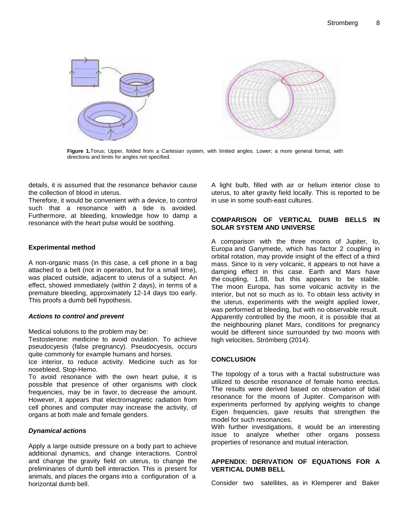

**Figure 1.**Torus; Upper, folded from a Cartesian system, with limited angles. Lower; a more general format, with directions and limits for angles not specified.

details, it is assumed that the resonance behavior cause the collection of blood in uterus.

Therefore, it would be convenient with a device, to control such that a resonance with a tide is avoided. Furthermore, at bleeding, knowledge how to damp a resonance with the heart pulse would be soothing.

# **Experimental method**

A non-organic mass (in this case, a cell phone in a bag attached to a belt (not in operation, but for a small time), was placed outside, adjacent to uterus of a subject. An effect, showed immediately (within 2 days), in terms of a premature bleeding, approximately 12-14 days too early. This proofs a dumb bell hypothesis.

#### *Actions to control and prevent*

Medical solutions to the problem may be:

Testosterone: medicine to avoid ovulation. To achieve pseudocyesis (false pregnancy). Pseudocyesis, occurs quite commonly for example humans and horses.

Ice interior, to reduce activity. Medicine such as for nosebleed, Stop-Hemo.

To avoid resonance with the own heart pulse, it is possible that presence of other organisms with clock frequencies, may be in favor, to decrease the amount. However, it appears that electromagnetic radiation from cell phones and computer may increase the activity, of organs at both male and female genders.

# *Dynamical actions*

Apply a large outside pressure on a body part to achieve additional dynamics, and change interactions. Control and change the gravity field on uterus, to change the preliminaries of dumb bell interaction. This is present for animals, and places the organs into a configuration of a horizontal dumb bell.

A light bulb, filled with air or helium interior close to uterus, to alter gravity field locally. This is reported to be in use in some south-east cultures.

# **COMPARISON OF VERTICAL DUMB BELLS IN SOLAR SYSTEM AND UNIVERSE**

A comparison with the three moons of Jupiter, Io, Europa and Ganymede, which has factor 2 coupling in orbital rotation, may provide insight of the effect of a third mass. Since Io is very volcanic, it appears to not have a damping effect in this case. Earth and Mars have the coupling, 1.88, but this appears to be stable. The moon Europa, has some volcanic activity in the interior, but not so much as Io. To obtain less activity in the uterus, experiments with the weight applied lower, was performed at bleeding, but with no observable result. Apparently controlled by the moon, it is possible that at the neighbouring planet Mars, conditions for pregnancy would be different since surrounded by two moons with high velocities, Strömberg (2014).

# **CONCLUSION**

The topology of a torus with a fractal substructure was utilized to describe resonance of female homo erectus. The results were derived based on observation of tidal resonance for the moons of Jupiter. Comparison with experiments performed by applying weights to change Eigen frequencies, gave results that strengthen the model for such resonances.

With further investigations, it would be an interesting issue to analyze whether other organs possess properties of resonance and mutual interaction.

# **APPENDIX: DERIVATION OF EQUATIONS FOR A VERTICAL DUMB BELL**

Consider two satellites, as in Klemperer and Baker